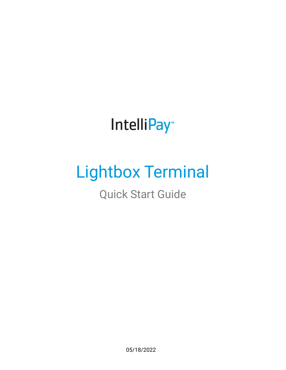# IntelliPay<sup>®</sup>

# Lightbox Terminal

Quick Start Guide

05/18/2022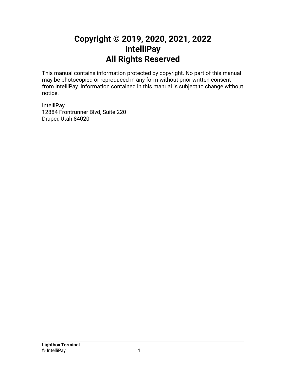### **Copyright © 2019, 2020, 2021, 2022 IntelliPay All Rights Reserved**

This manual contains information protected by copyright. No part of this manual may be photocopied or reproduced in any form without prior written consent from IntelliPay. Information contained in this manual is subject to change without notice.

**IntelliPay** 12884 Frontrunner Blvd, Suite 220 Draper, Utah 84020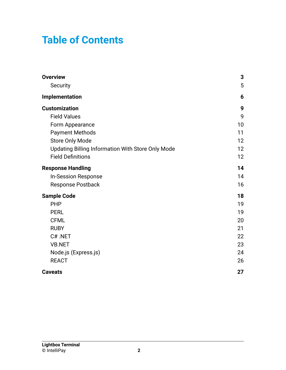# **Table of Contents**

| <b>Overview</b>                                   | 3  |
|---------------------------------------------------|----|
| Security                                          | 5  |
| Implementation                                    | 6  |
| <b>Customization</b>                              | 9  |
| <b>Field Values</b>                               | 9  |
| Form Appearance                                   | 10 |
| <b>Payment Methods</b>                            | 11 |
| <b>Store Only Mode</b>                            | 12 |
| Updating Billing Information With Store Only Mode | 12 |
| <b>Field Definitions</b>                          | 12 |
| <b>Response Handling</b>                          | 14 |
| <b>In-Session Response</b>                        | 14 |
| <b>Response Postback</b>                          | 16 |
| <b>Sample Code</b>                                | 18 |
| <b>PHP</b>                                        | 19 |
| <b>PERL</b>                                       | 19 |
| <b>CFML</b>                                       | 20 |
| <b>RUBY</b>                                       | 21 |
| C#.NET                                            | 22 |
| <b>VB.NET</b>                                     | 23 |
| Node.js (Express.js)                              | 24 |
| <b>REACT</b>                                      | 26 |
| <b>Caveats</b>                                    | 27 |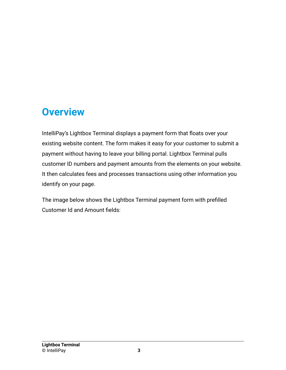## <span id="page-3-0"></span>**Overview**

IntelliPay's Lightbox Terminal displays a payment form that floats over your existing website content. The form makes it easy for your customer to submit a payment without having to leave your billing portal. Lightbox Terminal pulls customer ID numbers and payment amounts from the elements on your website. It then calculates fees and processes transactions using other information you identify on your page.

The image below shows the Lightbox Terminal payment form with prefilled Customer Id and Amount fields: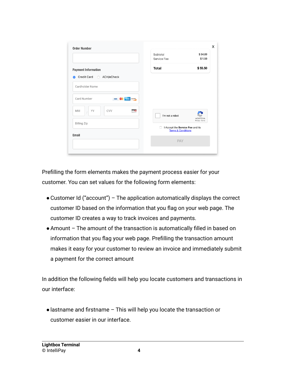| <b>Order Number</b>                                         |                                    |                                                     |
|-------------------------------------------------------------|------------------------------------|-----------------------------------------------------|
|                                                             | Subtotal                           | \$54.00                                             |
|                                                             | Service Fee                        | \$1.50                                              |
| <b>Payment Information</b>                                  | <b>Total</b>                       | \$55.50                                             |
| Credit Card ©<br>ACH/eCheck<br>$\bullet$<br>Cardholder Name |                                    |                                                     |
| Card Number<br><b>DISCOVER</b><br><b>VISA</b>               |                                    |                                                     |
| YY<br>CVV<br><b>MM</b><br>Ō                                 | I'm not a robot                    | reCAPTCHA                                           |
| <b>Billing Zip</b>                                          | n<br><b>Terms &amp; Conditions</b> | Privacy - Terms<br>I Accept the Service Fee and its |
| Email                                                       |                                    |                                                     |
|                                                             | <b>PAY</b>                         |                                                     |
|                                                             |                                    |                                                     |

Prefilling the form elements makes the payment process easier for your customer. You can set values for the following form elements:

- ●Customer Id ("account") The application automatically displays the correct customer ID based on the information that you flag on your web page. The customer ID creates a way to track invoices and payments.
- ●Amount The amount of the transaction is automatically filled in based on information that you flag your web page. Prefilling the transaction amount makes it easy for your customer to review an invoice and immediately submit a payment for the correct amount

In addition the following fields will help you locate customers and transactions in our interface:

●lastname and firstname – This will help you locate the transaction or customer easier in our interface.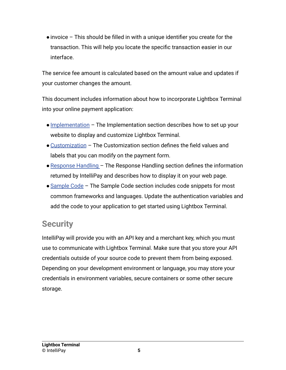$\bullet$  invoice – This should be filled in with a unique identifier you create for the transaction. This will help you locate the specific transaction easier in our interface.

The service fee amount is calculated based on the amount value and updates if your customer changes the amount.

This document includes information about how to incorporate Lightbox Terminal into your online payment application:

- Implementation The Implementation section describes how to set up your website to display and customize Lightbox Terminal.
- ●Customization The Customization section defines the field values and labels that you can modify on the payment form.
- $\bullet$  Response Handling The Response Handling section defines the information returned by IntelliPay and describes how to display it on your web page.
- Sample Code The Sample Code section includes code snippets for most common frameworks and languages. Update the authentication variables and add the code to your application to get started using Lightbox Terminal.

### <span id="page-5-0"></span>**Security**

IntelliPay will provide you with an API key and a merchant key, which you must use to communicate with Lightbox Terminal. Make sure that you store your API credentials outside of your source code to prevent them from being exposed. Depending on your development environment or language, you may store your credentials in environment variables, secure containers or some other secure storage.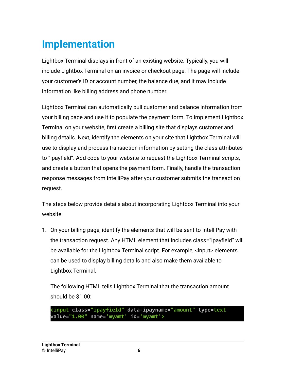# <span id="page-6-0"></span>**Implementation**

Lightbox Terminal displays in front of an existing website. Typically, you will include Lightbox Terminal on an invoice or checkout page. The page will include your customer's ID or account number, the balance due, and it may include information like billing address and phone number.

Lightbox Terminal can automatically pull customer and balance information from your billing page and use it to populate the payment form. To implement Lightbox Terminal on your website, first create a billing site that displays customer and billing details. Next, identify the elements on your site that Lightbox Terminal will use to display and process transaction information by setting the class attributes to "ipayfield". Add code to your website to request the Lightbox Terminal scripts, and create a button that opens the payment form. Finally, handle the transaction response messages from IntelliPay after your customer submits the transaction request.

The steps below provide details about incorporating Lightbox Terminal into your website:

1. On your billing page, identify the elements that will be sent to IntelliPay with the transaction request. Any HTML element that includes class="ipayfield" will be available for the Lightbox Terminal script. For example, <input> elements can be used to display billing details and also make them available to Lightbox Terminal.

The following HTML tells Lightbox Terminal that the transaction amount should be \$1.00:

```
<input class="ipayfield" data-ipayname="amount" type=text
value="1.00" name='myamt' id='myamt'>
```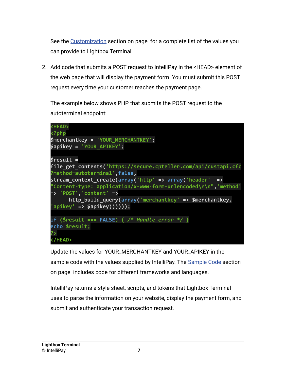See the Customization section on page for a complete list of the values you can provide to Lightbox Terminal.

2. Add code that submits a POST request to IntelliPay in the <HEAD> element of the web page that will display the payment form. You must submit this POST request every time your customer reaches the payment page.

The example below shows PHP that submits the POST request to the autoterminal endpoint:

| <head><br/><?php</th></head>                                    |
|-----------------------------------------------------------------|
| \$merchantkey = 'YOUR MERCHANTKEY';                             |
| \$apikey = 'YOUR_APIKEY';                                       |
| \$result =                                                      |
| file_get_contents('https://secure.cpteller.com/api/custapi.cfc  |
| ?method=autoterminal',false,                                    |
| stream_context_create(array('http' => array('header' =>         |
| "Content-type: application/x-www-form-urlencoded\r\n", 'method' |
| $\Rightarrow$ 'POST', 'content' =>                              |
| $http_buid_query(array('merchantkey' => $merchantkey,$          |
| $'apikey' \Rightarrow$ \$apikey))))));                          |
| if (\$result === FALSE) $\{$ /* Handle error */ $\}$            |
| echo \$result;                                                  |
| ?>                                                              |
|                                                                 |

Update the values for YOUR\_MERCHANTKEY and YOUR\_APIKEY in the sample code with the values supplied by IntelliPay. The Sample Code section on page includes code for different frameworks and languages.

IntelliPay returns a style sheet, scripts, and tokens that Lightbox Terminal uses to parse the information on your website, display the payment form, and submit and authenticate your transaction request.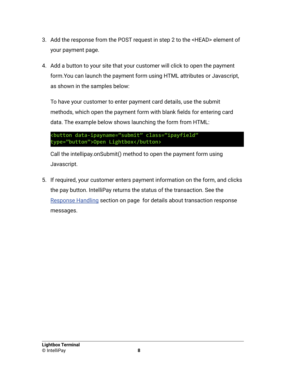- 3. Add the response from the POST request in step 2 to the <HEAD> element of your payment page.
- 4. Add a button to your site that your customer will click to open the payment form.You can launch the payment form using HTML attributes or Javascript, as shown in the samples below:

To have your customer to enter payment card details, use the submit methods, which open the payment form with blank fields for entering card data. The example below shows launching the form from HTML:

```
<button data-ipayname="submit" class="ipayfield"
type="button">Open Lightbox</button>
```
Call the intellipay.onSubmit() method to open the payment form using Javascript.

5. If required, your customer enters payment information on the form, and clicks the pay button. IntelliPay returns the status of the transaction. See the Response Handling section on page for details about transaction response messages.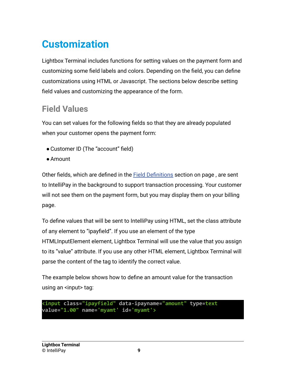# <span id="page-9-0"></span>**Customization**

Lightbox Terminal includes functions for setting values on the payment form and customizing some field labels and colors. Depending on the field, you can define customizations using HTML or Javascript. The sections below describe setting field values and customizing the appearance of the form.

### <span id="page-9-1"></span>**Field Values**

You can set values for the following fields so that they are already populated when your customer opens the payment form:

- Customer ID (The "account" field)
- ●Amount

Other fields, which are defined in the **Field Definitions** section on page, are sent to IntelliPay in the background to support transaction processing. Your customer will not see them on the payment form, but you may display them on your billing page.

To define values that will be sent to IntelliPay using HTML, set the class attribute of any element to "ipayfield". If you use an element of the type HTMLInputElement element, Lightbox Terminal will use the value that you assign to its "value" attribute. If you use any other HTML element, Lightbox Terminal will parse the content of the tag to identify the correct value.

The example below shows how to define an amount value for the transaction using an <input> tag:

```
<input class="ipayfield" data-ipayname="amount" type=text
value="1.00" name='myamt' id='myamt'>
```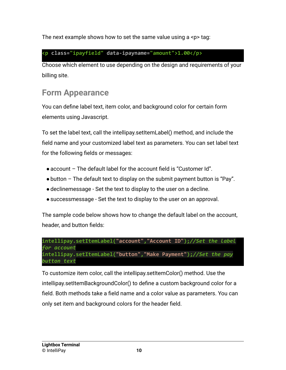The next example shows how to set the same value using a  $\epsilon$ p tag:

#### **<p class="ipayfield" data-ipayname="amount">1.00</p>**

Choose which element to use depending on the design and requirements of your billing site.

### <span id="page-10-0"></span>**Form Appearance**

You can define label text, item color, and background color for certain form elements using Javascript.

To set the label text, call the intellipay.setItemLabel() method, and include the field name and your customized label text as parameters. You can set label text for the following fields or messages:

- ●account The default label for the account field is "Customer Id".
- $\bullet$  button The default text to display on the submit payment button is "Pay".
- ●declinemessage Set the text to display to the user on a decline.
- ●successmessage Set the text to display to the user on an approval.

The sample code below shows how to change the default label on the account, header, and button fields:

```
intellipay.setItemLabel("account","Account ID");//Set the label
for account
intellipay.setItemLabel("button","Make Payment");//Set the pay
button text
```
To customize item color, call the intellipay.setItemColor() method. Use the intellipay.setItemBackgroundColor() to define a custom background color for a field. Both methods take a field name and a color value as parameters. You can only set item and background colors for the header field.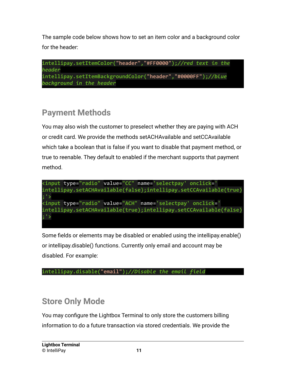The sample code below shows how to set an item color and a background color for the header:

```
intellipay.setItemColor("header","#FF0000");//red text in the
header
intellipay.setItemBackgroundColor("header","#0000FF");//blue
background in the header
```
### <span id="page-11-0"></span>**Payment Methods**

You may also wish the customer to preselect whether they are paying with ACH or credit card. We provide the methods setACHAvailable and setCCAvailable which take a boolean that is false if you want to disable that payment method, or true to reenable. They default to enabled if the merchant supports that payment method.



Some fields or elements may be disabled or enabled using the intellipay.enable() or intellipay.disable() functions. Currently only email and account may be disabled. For example:

```
intellipay.disable("email");//Disable the email field
```
### <span id="page-11-1"></span>**Store Only Mode**

You may configure the Lightbox Terminal to only store the customers billing information to do a future transaction via stored credentials. We provide the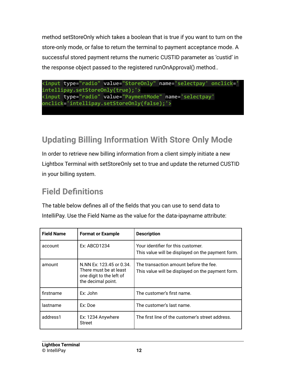method setStoreOnly which takes a boolean that is true if you want to turn on the store-only mode, or false to return the terminal to payment acceptance mode. A successful stored payment returns the numeric CUSTID parameter as 'custid' in the response object passed to the registered runOnApproval() method..



### <span id="page-12-0"></span>**Updating Billing Information With Store Only Mode**

In order to retrieve new billing information from a client simply initiate a new Lightbox Terminal with setStoreOnly set to true and update the returned CUSTID in your billing system.

### <span id="page-12-1"></span>**Field Definitions**

The table below defines all of the fields that you can use to send data to IntelliPay. Use the Field Name as the value for the data-ipayname attribute:

| <b>Field Name</b> | <b>Format or Example</b>                                                                             | <b>Description</b>                                                                          |
|-------------------|------------------------------------------------------------------------------------------------------|---------------------------------------------------------------------------------------------|
| account           | Ex: ABCD1234                                                                                         | Your identifier for this customer.<br>This value will be displayed on the payment form.     |
| amount            | N.NN Ex: 123.45 or 0.34.<br>There must be at least<br>one digit to the left of<br>the decimal point. | The transaction amount before the fee.<br>This value will be displayed on the payment form. |
| firstname         | Fx:John                                                                                              | The customer's first name.                                                                  |
| lastname          | Ex: Doe                                                                                              | The customer's last name.                                                                   |
| address1          | Ex: 1234 Anywhere<br>Street                                                                          | The first line of the customer's street address.                                            |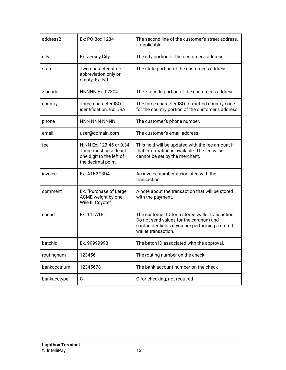| address2    | Ex: PO Box 1234                                                                                      | The second line of the customer's street address,<br>if applicable.                                                                                                   |
|-------------|------------------------------------------------------------------------------------------------------|-----------------------------------------------------------------------------------------------------------------------------------------------------------------------|
| city        | Ex: Jersey City                                                                                      | The city portion of the customer's address.                                                                                                                           |
| state       | Two-character state<br>abbreviation only or<br>empty. Ex: NJ                                         | The state portion of the customer's address.                                                                                                                          |
| zipcode     | <b>NNNNN Ex: 07304</b>                                                                               | The zip code portion of the customer's address.                                                                                                                       |
| country     | Three-character ISO<br>identification. Ex: USA                                                       | The three-character ISO formatted country code<br>for the country portion of the customer's address.                                                                  |
| phone       | <b>NNN NNN NNNN</b>                                                                                  | The customer's phone number.                                                                                                                                          |
| email       | user@domain.com                                                                                      | The customer's email address.                                                                                                                                         |
| fee         | N.NN Ex: 123.45 or 0.34.<br>There must be at least<br>one digit to the left of<br>the decimal point. | This field will be updated with the fee amount if<br>that information is available. The fee value<br>cannot be set by the merchant.                                   |
| invoice     | Ex. A1B2C3D4                                                                                         | An invoice number associated with the<br>transaction.                                                                                                                 |
| comment     | Ex. "Purchase of Large<br>ACME weight by one<br>Wile E. Coyote"                                      | A note about the transaction that will be stored<br>with the payment.                                                                                                 |
| custid      | Ex. 111A1B1                                                                                          | The customer ID for a stored wallet transaction.<br>Do not send values for the cardnum and<br>cardholder fields if you are performing a stored<br>wallet transaction. |
| batchid     | Ex. 99999998                                                                                         | The batch ID associated with the approval.                                                                                                                            |
| routingnum  | 123456                                                                                               | The routing number on the check                                                                                                                                       |
| bankacctnum | 12345678                                                                                             | The bank account number on the check                                                                                                                                  |
| bankacctype | C                                                                                                    | C for checking, not required                                                                                                                                          |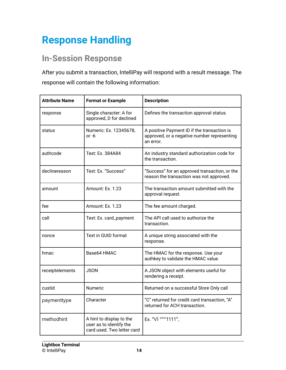# <span id="page-14-0"></span>**Response Handling**

### <span id="page-14-1"></span>**In-Session Response**

After you submit a transaction, IntelliPay will respond with a result message. The response will contain the following information:

| <b>Attribute Name</b> | <b>Format or Example</b>                                                          | <b>Description</b>                                                                                      |
|-----------------------|-----------------------------------------------------------------------------------|---------------------------------------------------------------------------------------------------------|
| response              | Single character: A for<br>approved, D for declined                               | Defines the transaction approval status.                                                                |
| status                | Numeric: Ex. 12345678,<br>or -6                                                   | A positive Payment ID if the transaction is<br>approved, or a negative number representing<br>an error. |
| authcode              | Text: Ex. 384A84                                                                  | An industry standard authorization code for<br>the transaction.                                         |
| declinereason         | Text: Ex. "Success"                                                               | "Success" for an approved transaction, or the<br>reason the transaction was not approved.               |
| amount                | Amount: Ex. 1.23                                                                  | The transaction amount submitted with the<br>approval request.                                          |
| fee                   | Amount: Ex. 1.23                                                                  | The fee amount charged.                                                                                 |
| call                  | Text: Ex. card_payment                                                            | The API call used to authorize the<br>transaction.                                                      |
| nonce                 | Text in GUID format                                                               | A unique string associated with the<br>response.                                                        |
| hmac                  | Base64 HMAC                                                                       | The HMAC for the response. Use your<br>authkey to validate the HMAC value.                              |
| receiptelements       | <b>JSON</b>                                                                       | A JSON object with elements useful for<br>rendering a receipt.                                          |
| custid                | <b>Numeric</b>                                                                    | Returned on a successful Store Only call                                                                |
| paymenttype           | Character                                                                         | "C" returned for credit card transaction, "A"<br>returned for ACH transaction.                          |
| methodhint            | A hint to display to the<br>user as to identify the<br>card used. Two letter card | Ex. "VI ***1111",                                                                                       |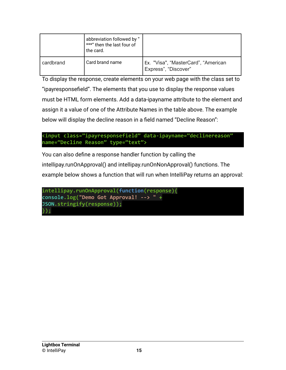|           | abbreviation followed by "<br>***" then the last four of<br>the card. |                                                             |
|-----------|-----------------------------------------------------------------------|-------------------------------------------------------------|
| cardbrand | Card brand name                                                       | Ex. "Visa", "MasterCard", "American<br>Express", "Discover" |

To display the response, create elements on your web page with the class set to "ipayresponsefield". The elements that you use to display the response values must be HTML form elements. Add a data-ipayname attribute to the element and assign it a value of one of the Attribute Names in the table above. The example below will display the decline reason in a field named "Decline Reason":

```
<input class="ipayresponsefield" data-ipayname="declinereason"
name="Decline Reason" type="text">
```
You can also define a response handler function by calling the intellipay.runOnApproval() and intellipay.runOnNonApproval() functions. The example below shows a function that will run when IntelliPay returns an approval:

```
intellipay.runOnApproval(function(response){
console.log("Demo Got Approval! --> " +
JSON.stringify(response));
});
```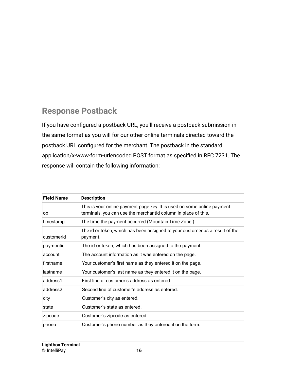### <span id="page-16-0"></span>**Response Postback**

If you have configured a postback URL, you'll receive a postback submission in the same format as you will for our other online terminals directed toward the postback URL configured for the merchant. The postback in the standard application/x-www-form-urlencoded POST format as specified in RFC 7231. The response will contain the following information:

| <b>Field Name</b> | <b>Description</b>                                                                                                                        |
|-------------------|-------------------------------------------------------------------------------------------------------------------------------------------|
| op                | This is your online payment page key. It is used on some online payment<br>terminals, you can use the merchantid column in place of this. |
| timestamp         | The time the payment occurred (Mountain Time Zone.)                                                                                       |
| customerid        | The id or token, which has been assigned to your customer as a result of the<br>payment.                                                  |
| paymentid         | The id or token, which has been assigned to the payment.                                                                                  |
| account           | The account information as it was entered on the page.                                                                                    |
| firstname         | Your customer's first name as they entered it on the page.                                                                                |
| lastname          | Your customer's last name as they entered it on the page.                                                                                 |
| address1          | First line of customer's address as entered.                                                                                              |
| address2          | Second line of customer's address as entered.                                                                                             |
| city              | Customer's city as entered.                                                                                                               |
| state             | Customer's state as entered.                                                                                                              |
| zipcode           | Customer's zipcode as entered.                                                                                                            |
| phone             | Customer's phone number as they entered it on the form.                                                                                   |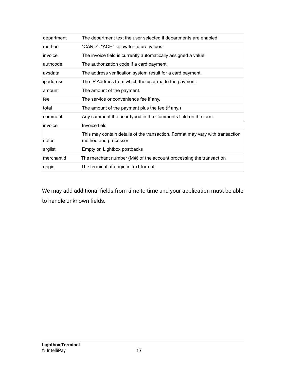| department | The department text the user selected if departments are enabled.                                     |
|------------|-------------------------------------------------------------------------------------------------------|
| method     | "CARD", "ACH", allow for future values                                                                |
| invoice    | The invoice field is currently automatically assigned a value.                                        |
| authcode   | The authorization code if a card payment.                                                             |
| avsdata    | The address verification system result for a card payment.                                            |
| ipaddress  | The IP Address from which the user made the payment.                                                  |
| lamount    | The amount of the payment.                                                                            |
| fee        | The service or convenience fee if any.                                                                |
| total      | The amount of the payment plus the fee (if any.)                                                      |
| comment    | Any comment the user typed in the Comments field on the form.                                         |
| invoice    | Invoice field                                                                                         |
| notes      | This may contain details of the transaction. Format may vary with transaction<br>method and processor |
| arglist    | Empty on Lightbox postbacks                                                                           |
| merchantid | The merchant number (M#) of the account processing the transaction                                    |
| origin     | The terminal of origin in text format                                                                 |

We may add additional fields from time to time and your application must be able to handle unknown fields.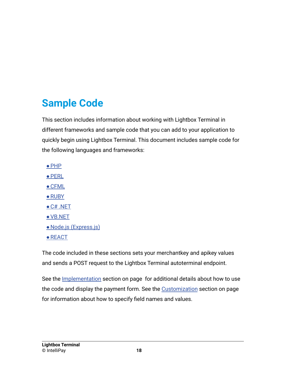# <span id="page-18-0"></span>**Sample Code**

This section includes information about working with Lightbox Terminal in different frameworks and sample code that you can add to your application to quickly begin using Lightbox Terminal. This document includes sample code for the following languages and frameworks:

- ●PHP
- ●PERL
- CFML
- RUBY
- $\bullet$  C# .NET
- ●VB.NET
- Node.js (Express.js)
- REACT

The code included in these sections sets your merchantkey and apikey values and sends a POST request to the Lightbox Terminal autoterminal endpoint.

See the Implementation section on page for additional details about how to use the code and display the payment form. See the Customization section on page for information about how to specify field names and values.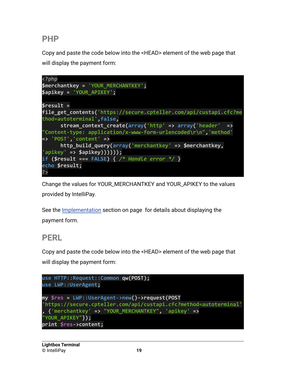#### <span id="page-19-0"></span>**PHP**

Copy and paste the code below into the <HEAD> element of the web page that will display the payment form:



Change the values for YOUR\_MERCHANTKEY and YOUR\_APIKEY to the values provided by IntelliPay.

See the Implementation section on page for details about displaying the payment form.

#### <span id="page-19-1"></span>**PERL**

Copy and paste the code below into the <HEAD> element of the web page that will display the payment form:

```
use HTTP::Request::Common qw(POST);
use LWP::UserAgent;
my $res = LWP::UserAgent->new()->request(POST
'https://secure.cpteller.com/api/custapi.cfc?method=autoterminal'
, {'merchantkey' => "YOUR_MERCHANTKEY", 'apikey' =>
"YOUR_APIKEY"});
print $res->content;
```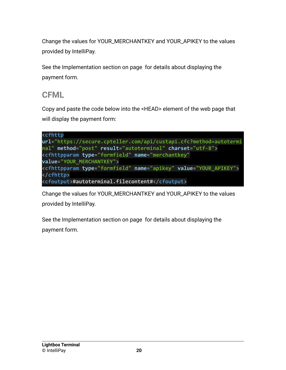Change the values for YOUR\_MERCHANTKEY and YOUR\_APIKEY to the values provided by IntelliPay.

See the Implementation section on page for details about displaying the payment form.

#### <span id="page-20-0"></span>**CFML**

Copy and paste the code below into the <HEAD> element of the web page that will display the payment form:

```
<cfhttp
url="https://secure.cpteller.com/api/custapi.cfc?method=autotermi
nal" method="post" result="autoterminal" charset="utf-8">
<cfhttpparam type="formfield" name="merchantkey"
value="YOUR_MERCHANTKEY">
<cfhttpparam type="formfield" name="apikey" value="YOUR_APIKEY">
</cfhttp>
<cfoutput>#autoterminal.filecontent#</cfoutput>
```
Change the values for YOUR\_MERCHANTKEY and YOUR\_APIKEY to the values provided by IntelliPay.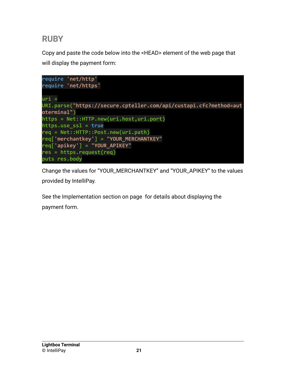### <span id="page-21-0"></span>**RUBY**

Copy and paste the code below into the <HEAD> element of the web page that will display the payment form:



Change the values for "YOUR\_MERCHANTKEY" and "YOUR\_APIKEY" to the values provided by IntelliPay.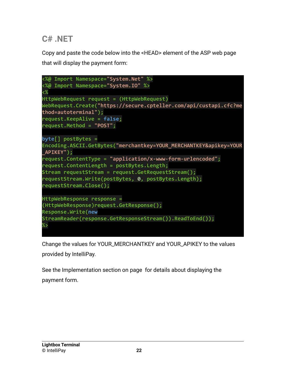### <span id="page-22-0"></span>**C# .NET**

Copy and paste the code below into the <HEAD> element of the ASP web page that will display the payment form:



Change the values for YOUR\_MERCHANTKEY and YOUR\_APIKEY to the values provided by IntelliPay.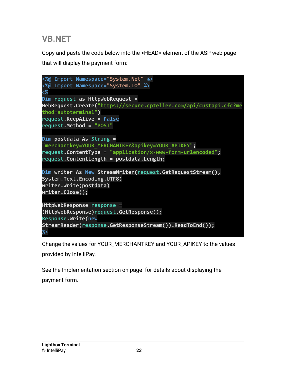### <span id="page-23-0"></span>**VB.NET**

Copy and paste the code below into the <HEAD> element of the ASP web page that will display the payment form:



Change the values for YOUR\_MERCHANTKEY and YOUR\_APIKEY to the values provided by IntelliPay.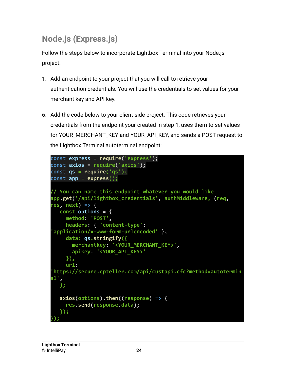# <span id="page-24-0"></span>**Node.js (Express.js)**

Follow the steps below to incorporate Lightbox Terminal into your Node.js project:

- 1. Add an endpoint to your project that you will call to retrieve your authentication credentials. You will use the credentials to set values for your merchant key and API key.
- 6. Add the code below to your client-side project. This code retrieves your credentials from the endpoint your created in step 1, uses them to set values for YOUR\_MERCHANT\_KEY and YOUR\_API\_KEY, and sends a POST request to the Lightbox Terminal autoterminal endpoint:

```
const express = require('express');
const axios = require('axios');
const qs = require('qs');
const app = express();
// You can name this endpoint whatever you would like
app.get('/api/lightbox_credentials', authMiddleware, (req,
res, next) => {
  const options = {
    method: 'POST',
     headers: { 'content-type':
 'application/x-www-form-urlencoded' },
     data: qs.stringify({
      merchantkey: '<YOUR_MERCHANT_KEY>',
       apikey: '<YOUR_API_KEY>'
     }),
    url:
'https://secure.cpteller.com/api/custapi.cfc?method=autotermin
al',
   };
   axios(options).then((response) => {
     res.send(response.data);
   });
});
```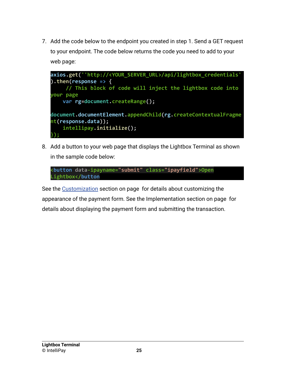7. Add the code below to the endpoint you created in step 1. Send a GET request to your endpoint. The code below returns the code you need to add to your web page:

**axios.get(''http://<YOUR\_SERVER\_URL>/api/lightbox\_credentials' ).then(response => { // This block of code will inject the lightbox code into your page var rg=document.createRange(); document.documentElement.appendChild(rg.createContextualFragme nt(response.data)); intellipay.initialize(); });**

8. Add a button to your web page that displays the Lightbox Terminal as shown in the sample code below:

```
<button data-ipayname="submit" class="ipayfield">Open
Lightbox</button
```
See the Customization section on page for details about customizing the appearance of the payment form. See the Implementation section on page for details about displaying the payment form and submitting the transaction.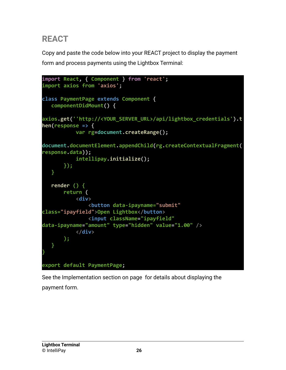### <span id="page-26-0"></span>**REACT**

Copy and paste the code below into your REACT project to display the payment form and process payments using the Lightbox Terminal:

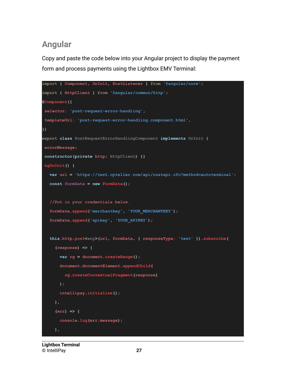### **Angular**

Copy and paste the code below into your Angular project to display the payment form and process payments using the Lightbox EMV Terminal:

```
import { Component, OnInit, HostListener } from '@angular/core';
import { HttpClient } from '@angular/common/http';
@Component({
selector: 'post-request-error-handling',
templateUrl: 'post-request-error-handling.component.html',
})
export class PostRequestErrorHandlingComponent implements OnInit {
errorMessage;
constructor(private http: HttpClient) {}
ngOnInit() {
  var url = 'https://test.cpteller.com/api/custapi.cfc?method=autoterminal';
  const formData = new FormData();
  //Put in your credentials below.
  formData.append('merchantkey', 'YOUR_MERCHANTKEY');
  formData.append('apikey', 'YOUR_APIKEY');
  this.http.post<any>(url, formData, { responseType: 'text' }).subscribe(
     (response) => {
      var rg = document.createRange();
      document.documentElement.appendChild(
        rg.createContextualFragment(response)
      );
      intellipay.initialize();
    },
     (err) => {
      console.log(err.message);
     },
```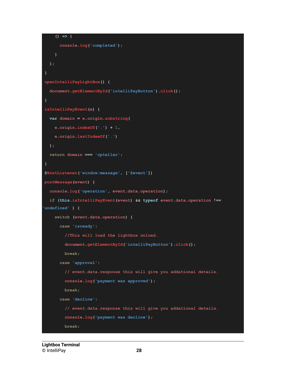```
() => {
     console.log('completed');
   }
  );
}
openIntelliPayLightBox() {
 document.getElementById('intelliPayButton').click();
}
isIntelliPayEvent(e) {
 var domain = e.origin.substring(
   e.origin.indexOf('.') + 1,
   e.origin.lastIndexOf('.')
 );
 return domain === 'cpteller';
}
@HostListener('window:message', ['$event'])
postMessage(event) {
 console.log('operation', event.data.operation);
 if (this.isIntelliPayEvent(event) && typeof event.data.operation !==
'undefined' ) {
   switch (event.data.operation) {
     case 'isready':
       //This will load the lightbox onload.
       document.getElementById('intelliPayButton').click();
       break;
     case 'approval':
        // event.data.response this will give you addational details.
        console.log('payment was approved');
       break;
     case 'decline':
        // event.data.response this will give you addational details.
        console.log('payment was decline');
       break;
```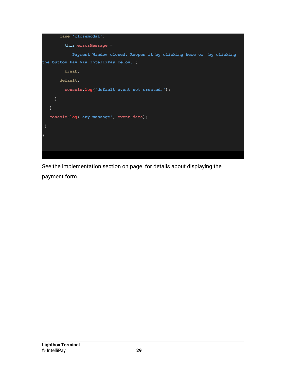